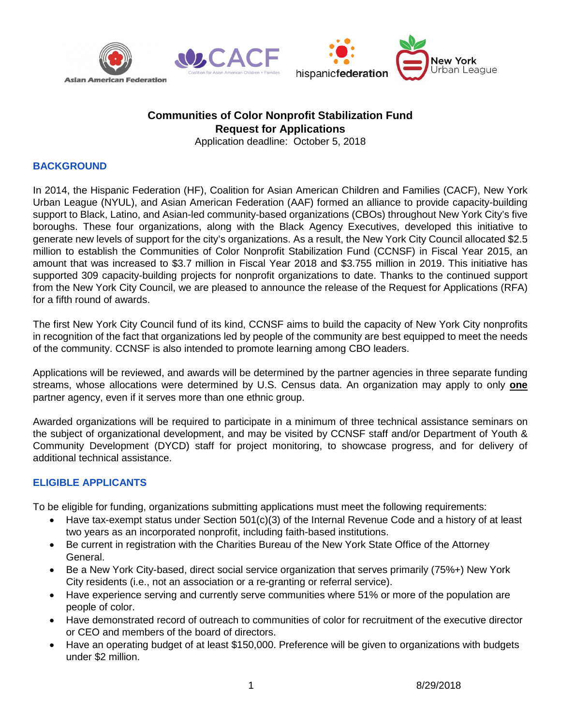







## **Communities of Color Nonprofit Stabilization Fund Request for Applications**

Application deadline: October 5, 2018

## **BACKGROUND**

In 2014, the Hispanic Federation (HF), Coalition for Asian American Children and Families (CACF), New York Urban League (NYUL), and Asian American Federation (AAF) formed an alliance to provide capacity-building support to Black, Latino, and Asian-led community-based organizations (CBOs) throughout New York City's five boroughs. These four organizations, along with the Black Agency Executives, developed this initiative to generate new levels of support for the city's organizations. As a result, the New York City Council allocated \$2.5 million to establish the Communities of Color Nonprofit Stabilization Fund (CCNSF) in Fiscal Year 2015, an amount that was increased to \$3.7 million in Fiscal Year 2018 and \$3.755 million in 2019. This initiative has supported 309 capacity-building projects for nonprofit organizations to date. Thanks to the continued support from the New York City Council, we are pleased to announce the release of the Request for Applications (RFA) for a fifth round of awards.

The first New York City Council fund of its kind, CCNSF aims to build the capacity of New York City nonprofits in recognition of the fact that organizations led by people of the community are best equipped to meet the needs of the community. CCNSF is also intended to promote learning among CBO leaders.

Applications will be reviewed, and awards will be determined by the partner agencies in three separate funding streams, whose allocations were determined by U.S. Census data. An organization may apply to only **one**  partner agency, even if it serves more than one ethnic group.

Awarded organizations will be required to participate in a minimum of three technical assistance seminars on the subject of organizational development, and may be visited by CCNSF staff and/or Department of Youth & Community Development (DYCD) staff for project monitoring, to showcase progress, and for delivery of additional technical assistance.

## **ELIGIBLE APPLICANTS**

To be eligible for funding, organizations submitting applications must meet the following requirements:

- Have tax-exempt status under Section 501(c)(3) of the Internal Revenue Code and a history of at least two years as an incorporated nonprofit, including faith-based institutions.
- Be current in registration with the Charities Bureau of the New York State Office of the Attorney General.
- Be a New York City-based, direct social service organization that serves primarily (75%+) New York City residents (i.e., not an association or a re-granting or referral service).
- Have experience serving and currently serve communities where 51% or more of the population are people of color.
- Have demonstrated record of outreach to communities of color for recruitment of the executive director or CEO and members of the board of directors.
- Have an operating budget of at least \$150,000. Preference will be given to organizations with budgets under \$2 million.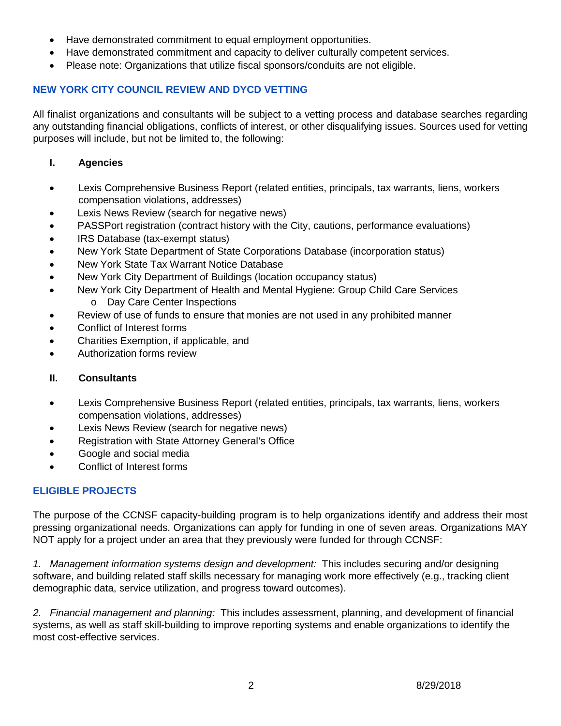- Have demonstrated commitment to equal employment opportunities.
- Have demonstrated commitment and capacity to deliver culturally competent services.
- Please note: Organizations that utilize fiscal sponsors/conduits are not eligible.

#### **NEW YORK CITY COUNCIL REVIEW AND DYCD VETTING**

All finalist organizations and consultants will be subject to a vetting process and database searches regarding any outstanding financial obligations, conflicts of interest, or other disqualifying issues. Sources used for vetting purposes will include, but not be limited to, the following:

- **I. Agencies**
- Lexis Comprehensive Business Report (related entities, principals, tax warrants, liens, workers compensation violations, addresses)
- Lexis News Review (search for negative news)
- PASSPort registration (contract history with the City, cautions, performance evaluations)
- IRS Database (tax-exempt status)
- New York State Department of State Corporations Database (incorporation status)
- New York State Tax Warrant Notice Database
- New York City Department of Buildings (location occupancy status)
- New York City Department of Health and Mental Hygiene: Group Child Care Services o Day Care Center Inspections
- Review of use of funds to ensure that monies are not used in any prohibited manner
- Conflict of Interest forms
- Charities Exemption, if applicable, and
- Authorization forms review

#### **II. Consultants**

- Lexis Comprehensive Business Report (related entities, principals, tax warrants, liens, workers compensation violations, addresses)
- Lexis News Review (search for negative news)
- Registration with State Attorney General's Office
- Google and social media
- Conflict of Interest forms

## **ELIGIBLE PROJECTS**

The purpose of the CCNSF capacity-building program is to help organizations identify and address their most pressing organizational needs. Organizations can apply for funding in one of seven areas. Organizations MAY NOT apply for a project under an area that they previously were funded for through CCNSF:

*1. Management information systems design and development:* This includes securing and/or designing software, and building related staff skills necessary for managing work more effectively (e.g., tracking client demographic data, service utilization, and progress toward outcomes).

*2. Financial management and planning:* This includes assessment, planning, and development of financial systems, as well as staff skill-building to improve reporting systems and enable organizations to identify the most cost-effective services.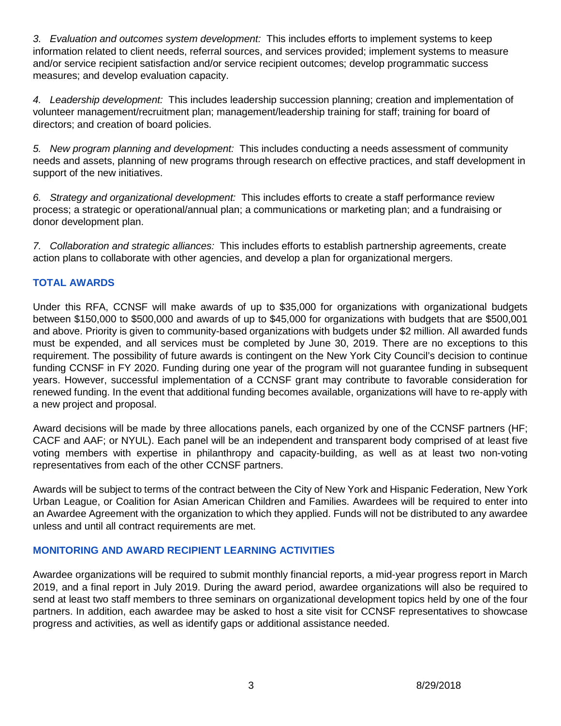*3. Evaluation and outcomes system development:* This includes efforts to implement systems to keep information related to client needs, referral sources, and services provided; implement systems to measure and/or service recipient satisfaction and/or service recipient outcomes; develop programmatic success measures; and develop evaluation capacity.

*4. Leadership development:* This includes leadership succession planning; creation and implementation of volunteer management/recruitment plan; management/leadership training for staff; training for board of directors; and creation of board policies.

*5. New program planning and development:* This includes conducting a needs assessment of community needs and assets, planning of new programs through research on effective practices, and staff development in support of the new initiatives.

*6. Strategy and organizational development:* This includes efforts to create a staff performance review process; a strategic or operational/annual plan; a communications or marketing plan; and a fundraising or donor development plan.

*7. Collaboration and strategic alliances:* This includes efforts to establish partnership agreements, create action plans to collaborate with other agencies, and develop a plan for organizational mergers.

#### **TOTAL AWARDS**

Under this RFA, CCNSF will make awards of up to \$35,000 for organizations with organizational budgets between \$150,000 to \$500,000 and awards of up to \$45,000 for organizations with budgets that are \$500,001 and above. Priority is given to community-based organizations with budgets under \$2 million. All awarded funds must be expended, and all services must be completed by June 30, 2019. There are no exceptions to this requirement. The possibility of future awards is contingent on the New York City Council's decision to continue funding CCNSF in FY 2020. Funding during one year of the program will not guarantee funding in subsequent years. However, successful implementation of a CCNSF grant may contribute to favorable consideration for renewed funding. In the event that additional funding becomes available, organizations will have to re-apply with a new project and proposal.

Award decisions will be made by three allocations panels, each organized by one of the CCNSF partners (HF; CACF and AAF; or NYUL). Each panel will be an independent and transparent body comprised of at least five voting members with expertise in philanthropy and capacity-building, as well as at least two non-voting representatives from each of the other CCNSF partners.

Awards will be subject to terms of the contract between the City of New York and Hispanic Federation, New York Urban League, or Coalition for Asian American Children and Families. Awardees will be required to enter into an Awardee Agreement with the organization to which they applied. Funds will not be distributed to any awardee unless and until all contract requirements are met.

#### **MONITORING AND AWARD RECIPIENT LEARNING ACTIVITIES**

Awardee organizations will be required to submit monthly financial reports, a mid-year progress report in March 2019, and a final report in July 2019. During the award period, awardee organizations will also be required to send at least two staff members to three seminars on organizational development topics held by one of the four partners. In addition, each awardee may be asked to host a site visit for CCNSF representatives to showcase progress and activities, as well as identify gaps or additional assistance needed.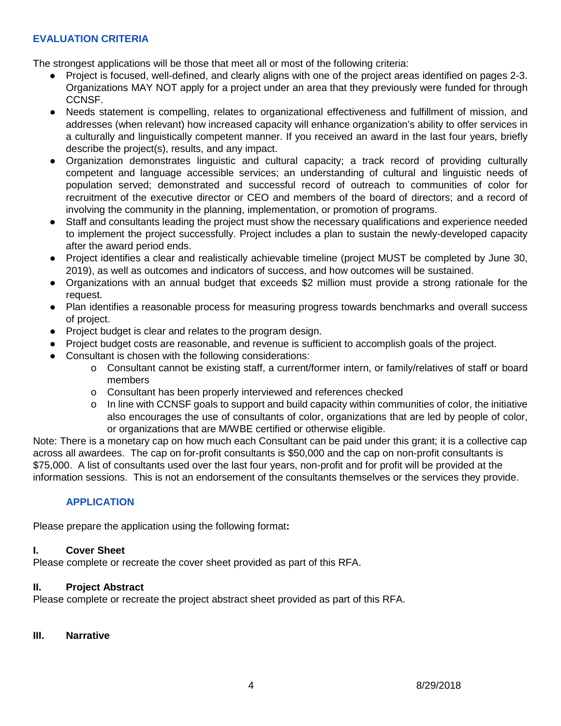#### **EVALUATION CRITERIA**

The strongest applications will be those that meet all or most of the following criteria:

- Project is focused, well-defined, and clearly aligns with one of the project areas identified on pages 2-3. Organizations MAY NOT apply for a project under an area that they previously were funded for through CCNSF.
- Needs statement is compelling, relates to organizational effectiveness and fulfillment of mission, and addresses (when relevant) how increased capacity will enhance organization's ability to offer services in a culturally and linguistically competent manner. If you received an award in the last four years, briefly describe the project(s), results, and any impact.
- Organization demonstrates linguistic and cultural capacity; a track record of providing culturally competent and language accessible services; an understanding of cultural and linguistic needs of population served; demonstrated and successful record of outreach to communities of color for recruitment of the executive director or CEO and members of the board of directors; and a record of involving the community in the planning, implementation, or promotion of programs.
- Staff and consultants leading the project must show the necessary qualifications and experience needed to implement the project successfully. Project includes a plan to sustain the newly-developed capacity after the award period ends.
- Project identifies a clear and realistically achievable timeline (project MUST be completed by June 30, 2019), as well as outcomes and indicators of success, and how outcomes will be sustained.
- Organizations with an annual budget that exceeds \$2 million must provide a strong rationale for the request.
- Plan identifies a reasonable process for measuring progress towards benchmarks and overall success of project.
- Project budget is clear and relates to the program design.
- Project budget costs are reasonable, and revenue is sufficient to accomplish goals of the project.
- Consultant is chosen with the following considerations:
	- o Consultant cannot be existing staff, a current/former intern, or family/relatives of staff or board members
	- o Consultant has been properly interviewed and references checked
	- $\circ$  In line with CCNSF goals to support and build capacity within communities of color, the initiative also encourages the use of consultants of color, organizations that are led by people of color, or organizations that are M/WBE certified or otherwise eligible.

Note: There is a monetary cap on how much each Consultant can be paid under this grant; it is a collective cap across all awardees. The cap on for-profit consultants is \$50,000 and the cap on non-profit consultants is \$75,000. A list of consultants used over the last four years, non-profit and for profit will be provided at the information sessions. This is not an endorsement of the consultants themselves or the services they provide.

## **APPLICATION**

Please prepare the application using the following format**:**

#### **I. Cover Sheet**

Please complete or recreate the cover sheet provided as part of this RFA.

#### **II. Project Abstract**

Please complete or recreate the project abstract sheet provided as part of this RFA.

#### **III. Narrative**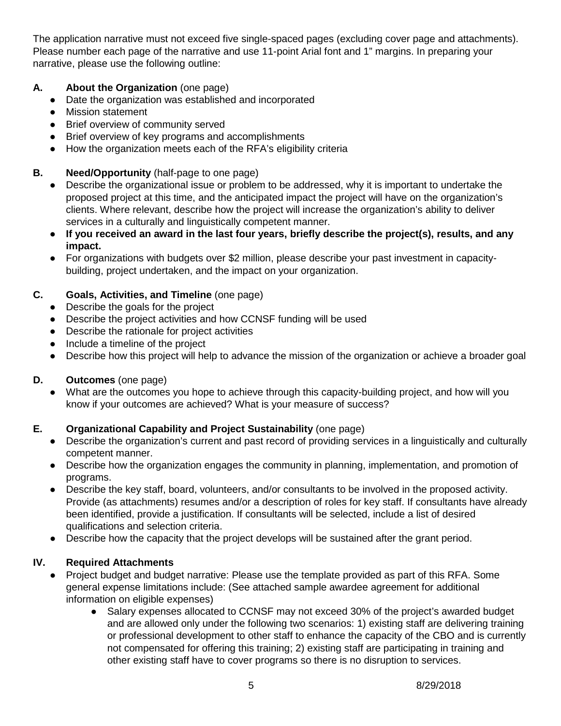The application narrative must not exceed five single-spaced pages (excluding cover page and attachments). Please number each page of the narrative and use 11-point Arial font and 1" margins. In preparing your narrative, please use the following outline:

## **A. About the Organization** (one page)

- Date the organization was established and incorporated
- Mission statement
- Brief overview of community served
- Brief overview of key programs and accomplishments
- How the organization meets each of the RFA's eligibility criteria

## **B. Need/Opportunity** (half-page to one page)

- Describe the organizational issue or problem to be addressed, why it is important to undertake the proposed project at this time, and the anticipated impact the project will have on the organization's clients. Where relevant, describe how the project will increase the organization's ability to deliver services in a culturally and linguistically competent manner.
- **If you received an award in the last four years, briefly describe the project(s), results, and any impact.**
- For organizations with budgets over \$2 million, please describe your past investment in capacitybuilding, project undertaken, and the impact on your organization.

## **C. Goals, Activities, and Timeline** (one page)

- Describe the goals for the project
- Describe the project activities and how CCNSF funding will be used
- Describe the rationale for project activities
- Include a timeline of the project
- Describe how this project will help to advance the mission of the organization or achieve a broader goal

## **D. Outcomes** (one page)

What are the outcomes you hope to achieve through this capacity-building project, and how will you know if your outcomes are achieved? What is your measure of success?

## **E. Organizational Capability and Project Sustainability** (one page)

- Describe the organization's current and past record of providing services in a linguistically and culturally competent manner.
- Describe how the organization engages the community in planning, implementation, and promotion of programs.
- Describe the key staff, board, volunteers, and/or consultants to be involved in the proposed activity. Provide (as attachments) resumes and/or a description of roles for key staff. If consultants have already been identified, provide a justification. If consultants will be selected, include a list of desired qualifications and selection criteria.
- Describe how the capacity that the project develops will be sustained after the grant period.

## **IV. Required Attachments**

- Project budget and budget narrative: Please use the template provided as part of this RFA. Some general expense limitations include: (See attached sample awardee agreement for additional information on eligible expenses)
	- Salary expenses allocated to CCNSF may not exceed 30% of the project's awarded budget and are allowed only under the following two scenarios: 1) existing staff are delivering training or professional development to other staff to enhance the capacity of the CBO and is currently not compensated for offering this training; 2) existing staff are participating in training and other existing staff have to cover programs so there is no disruption to services.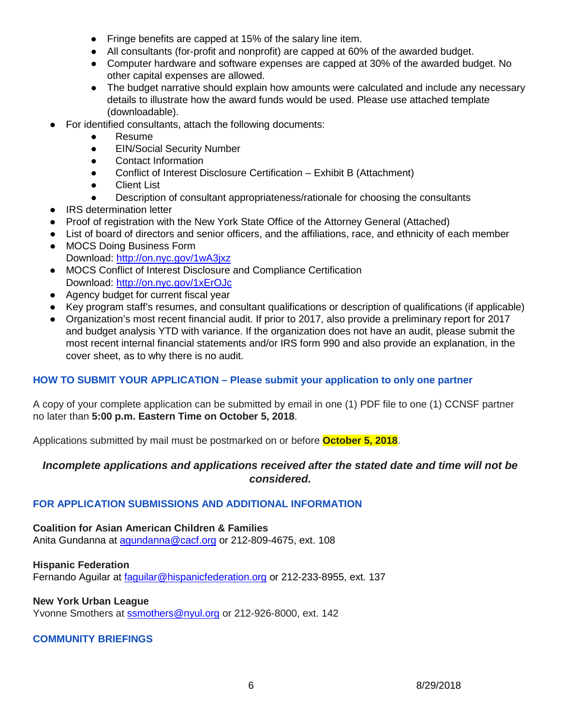- Fringe benefits are capped at 15% of the salary line item.
- All consultants (for-profit and nonprofit) are capped at 60% of the awarded budget.
- Computer hardware and software expenses are capped at 30% of the awarded budget. No other capital expenses are allowed.
- The budget narrative should explain how amounts were calculated and include any necessary details to illustrate how the award funds would be used. Please use attached template (downloadable).
- For identified consultants, attach the following documents:
	- **Resume**
	- EIN/Social Security Number
	- Contact Information
	- Conflict of Interest Disclosure Certification Exhibit B (Attachment)
	- Client List
	- Description of consultant appropriateness/rationale for choosing the consultants
- IRS determination letter
- Proof of registration with the New York State Office of the Attorney General (Attached)
- List of board of directors and senior officers, and the affiliations, race, and ethnicity of each member
- MOCS Doing Business Form Download: [http://on.nyc.gov/1wA3jxz](https://on.nyc.gov/2pilGKP)
- MOCS Conflict of Interest Disclosure and Compliance Certification Download: [http://on.nyc.gov/1xErOJc](https://on.nyc.gov/2QIYSjI)
- Agency budget for current fiscal year
- Key program staff's resumes, and consultant qualifications or description of qualifications (if applicable)
- Organization's most recent financial audit. If prior to 2017, also provide a preliminary report for 2017 and budget analysis YTD with variance. If the organization does not have an audit, please submit the most recent internal financial statements and/or IRS form 990 and also provide an explanation, in the cover sheet, as to why there is no audit.

## **HOW TO SUBMIT YOUR APPLICATION – Please submit your application to only one partner**

A copy of your complete application can be submitted by email in one (1) PDF file to one (1) CCNSF partner no later than **5:00 p.m. Eastern Time on October 5, 2018**.

Applications submitted by mail must be postmarked on or before **October 5, 2018**.

## *Incomplete applications and applications received after the stated date and time will not be considered.*

## **FOR APPLICATION SUBMISSIONS AND ADDITIONAL INFORMATION**

**Coalition for Asian American Children & Families** Anita Gundanna at agundanna@cacf.org or 212-809-4675, ext. 108

**Hispanic Federation** Fernando Aguilar at [faguilar@hispanicfederation.org](mailto:faguilar@hispanicfederation.org) or 212-233-8955, ext. 137

## **New York Urban League**

Yvonne Smothers at [ssmothers@nyul.org](mailto:ssmothers@nyul.org) or 212-926-8000, ext. 142

## **COMMUNITY BRIEFINGS**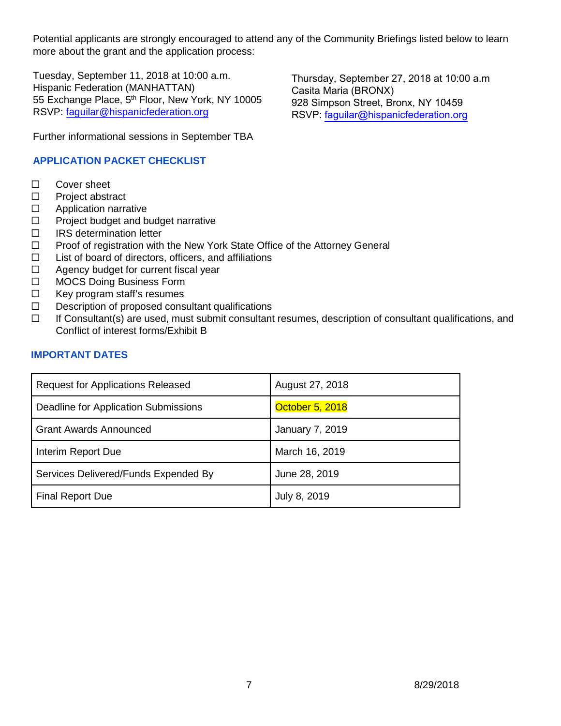Potential applicants are strongly encouraged to attend any of the Community Briefings listed below to learn more about the grant and the application process:

Tuesday, September 11, 2018 at 10:00 a.m. Hispanic Federation (MANHATTAN) 55 Exchange Place, 5<sup>th</sup> Floor, New York, NY 10005 RSVP: [faguilar@hispanicfederation.org](mailto:faguilar@hispanicfederation.org)

Thursday, September 27, 2018 at 10:00 a.m Casita Maria (BRONX) 928 Simpson Street, Bronx, NY 10459 RSVP: [faguilar@hispanicfederation.org](mailto:faguilar@hispanicfederation.org)

Further informational sessions in September TBA

## **APPLICATION PACKET CHECKLIST**

- □ Cover sheet
- $\square$  Project abstract
- □ Application narrative
- $\Box$  Project budget and budget narrative
- $\Box$  IRS determination letter
- $\Box$  Proof of registration with the New York State Office of the Attorney General
- $\Box$  List of board of directors, officers, and affiliations
- $\Box$  Agency budget for current fiscal year
- □ MOCS Doing Business Form
- $\Box$  Key program staff's resumes
- $\square$  Description of proposed consultant qualifications
- $\Box$  If Consultant(s) are used, must submit consultant resumes, description of consultant qualifications, and Conflict of interest forms/Exhibit B

## **IMPORTANT DATES**

| <b>Request for Applications Released</b> | August 27, 2018        |
|------------------------------------------|------------------------|
| Deadline for Application Submissions     | October 5, 2018        |
| <b>Grant Awards Announced</b>            | <b>January 7, 2019</b> |
| Interim Report Due                       | March 16, 2019         |
| Services Delivered/Funds Expended By     | June 28, 2019          |
| <b>Final Report Due</b>                  | July 8, 2019           |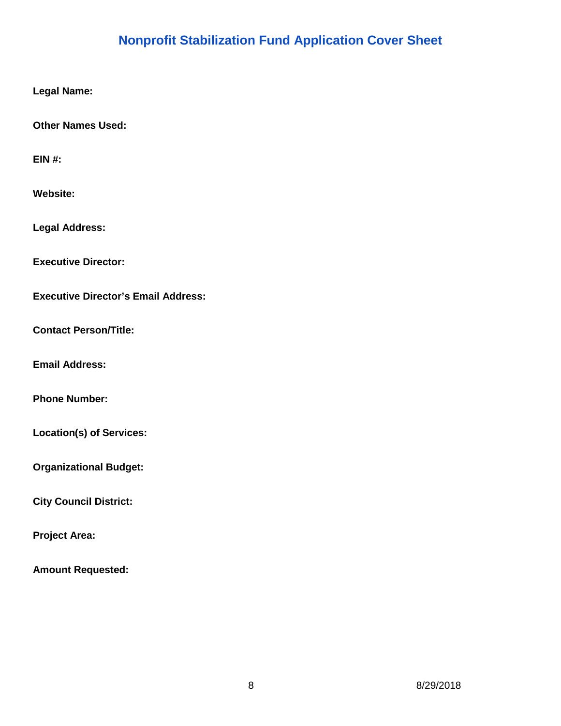# **Nonprofit Stabilization Fund Application Cover Sheet**

**Legal Name:** 

**Other Names Used:** 

**EIN #:** 

**Website:** 

**Legal Address:** 

**Executive Director:** 

**Executive Director's Email Address:** 

**Contact Person/Title:** 

**Email Address:** 

**Phone Number:** 

**Location(s) of Services:** 

**Organizational Budget:** 

**City Council District:** 

**Project Area:** 

**Amount Requested:**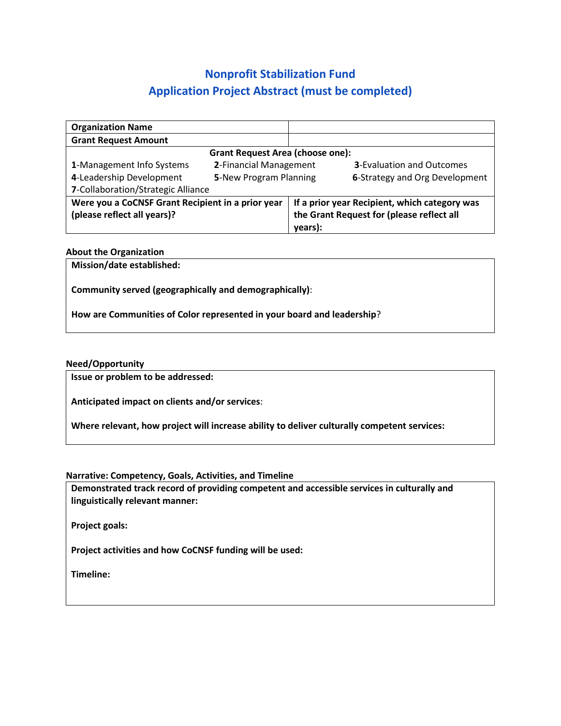# **Nonprofit Stabilization Fund Application Project Abstract (must be completed)**

| <b>Organization Name</b>                          |                        |         |                                               |
|---------------------------------------------------|------------------------|---------|-----------------------------------------------|
| <b>Grant Request Amount</b>                       |                        |         |                                               |
| <b>Grant Request Area (choose one):</b>           |                        |         |                                               |
| 1-Management Info Systems                         | 2-Financial Management |         | <b>3-Evaluation and Outcomes</b>              |
| 4-Leadership Development                          | 5-New Program Planning |         | 6-Strategy and Org Development                |
| 7-Collaboration/Strategic Alliance                |                        |         |                                               |
| Were you a CoCNSF Grant Recipient in a prior year |                        |         | If a prior year Recipient, which category was |
| (please reflect all years)?                       |                        |         | the Grant Request for (please reflect all     |
|                                                   |                        | years): |                                               |

#### **About the Organization**

**Mission/date established:** 

**Community served (geographically and demographically)**:

**How are Communities of Color represented in your board and leadership**?

#### **Need/Opportunity**

**Issue or problem to be addressed:** 

**Anticipated impact on clients and/or services**:

**Where relevant, how project will increase ability to deliver culturally competent services:** 

**Narrative: Competency, Goals, Activities, and Timeline**

**Demonstrated track record of providing competent and accessible services in culturally and linguistically relevant manner:** 

**Project goals:** 

**Project activities and how CoCNSF funding will be used:** 

**Timeline:**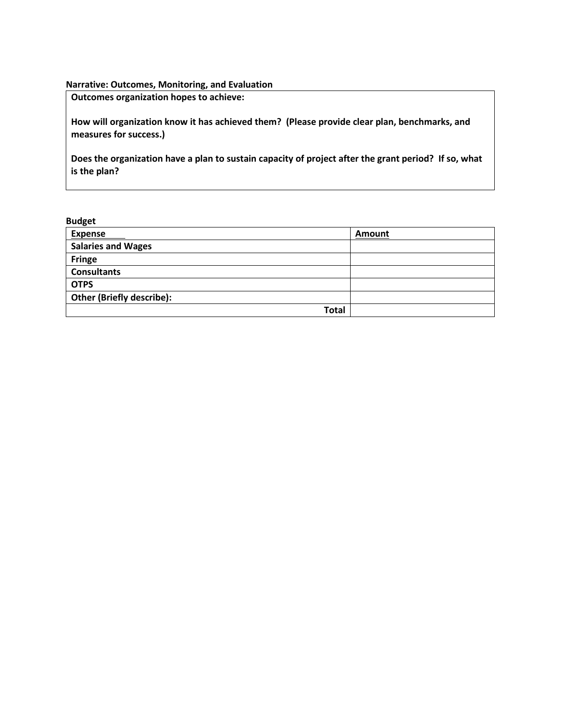#### **Narrative: Outcomes, Monitoring, and Evaluation**

**Outcomes organization hopes to achieve:** 

**How will organization know it has achieved them? (Please provide clear plan, benchmarks, and measures for success.)** 

**Does the organization have a plan to sustain capacity of project after the grant period? If so, what is the plan?**

#### **Budget**

| <b>Expense</b>                   | Amount |
|----------------------------------|--------|
| <b>Salaries and Wages</b>        |        |
| <b>Fringe</b>                    |        |
| <b>Consultants</b>               |        |
| <b>OTPS</b>                      |        |
| <b>Other (Briefly describe):</b> |        |
| Total                            |        |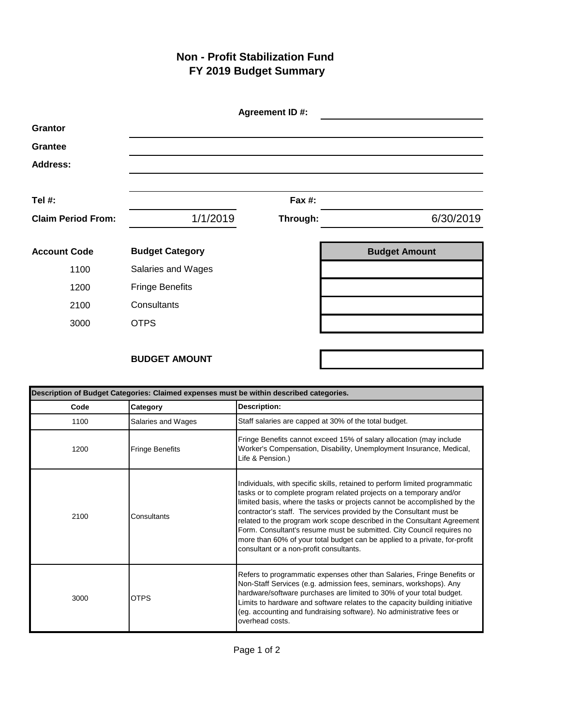## **Non - Profit Stabilization Fund FY 2019 Budget Summary**

|                           |                        | Agreement ID #: |                      |
|---------------------------|------------------------|-----------------|----------------------|
| <b>Grantor</b>            |                        |                 |                      |
| <b>Grantee</b>            |                        |                 |                      |
| <b>Address:</b>           |                        |                 |                      |
|                           |                        |                 |                      |
| Tel #:                    |                        | Fax #:          |                      |
| <b>Claim Period From:</b> | 1/1/2019               | Through:        | 6/30/2019            |
|                           |                        |                 |                      |
| <b>Account Code</b>       | <b>Budget Category</b> |                 | <b>Budget Amount</b> |
| 1100                      | Salaries and Wages     |                 |                      |
| 1200                      | <b>Fringe Benefits</b> |                 |                      |
| 2100                      | Consultants            |                 |                      |
| 3000                      | <b>OTPS</b>            |                 |                      |
|                           |                        |                 |                      |

## **BUDGET AMOUNT**

| Description of Budget Categories: Claimed expenses must be within described categories. |                        |                                                                                                                                                                                                                                                                                                                                                                                                                                                                                                                                                                                    |
|-----------------------------------------------------------------------------------------|------------------------|------------------------------------------------------------------------------------------------------------------------------------------------------------------------------------------------------------------------------------------------------------------------------------------------------------------------------------------------------------------------------------------------------------------------------------------------------------------------------------------------------------------------------------------------------------------------------------|
| Code                                                                                    | Category               | Description:                                                                                                                                                                                                                                                                                                                                                                                                                                                                                                                                                                       |
| 1100                                                                                    | Salaries and Wages     | Staff salaries are capped at 30% of the total budget.                                                                                                                                                                                                                                                                                                                                                                                                                                                                                                                              |
| 1200                                                                                    | <b>Fringe Benefits</b> | Fringe Benefits cannot exceed 15% of salary allocation (may include<br>Worker's Compensation, Disability, Unemployment Insurance, Medical,<br>Life & Pension.)                                                                                                                                                                                                                                                                                                                                                                                                                     |
| 2100                                                                                    | Consultants            | Individuals, with specific skills, retained to perform limited programmatic<br>tasks or to complete program related projects on a temporary and/or<br>limited basis, where the tasks or projects cannot be accomplished by the<br>contractor's staff. The services provided by the Consultant must be<br>related to the program work scope described in the Consultant Agreement<br>Form. Consultant's resume must be submitted. City Council requires no<br>more than 60% of your total budget can be applied to a private, for-profit<br>consultant or a non-profit consultants. |
| 3000                                                                                    | <b>OTPS</b>            | Refers to programmatic expenses other than Salaries, Fringe Benefits or<br>Non-Staff Services (e.g. admission fees, seminars, workshops). Any<br>hardware/software purchases are limited to 30% of your total budget.<br>Limits to hardware and software relates to the capacity building initiative<br>(eg. accounting and fundraising software). No administrative fees or<br>overhead costs.                                                                                                                                                                                    |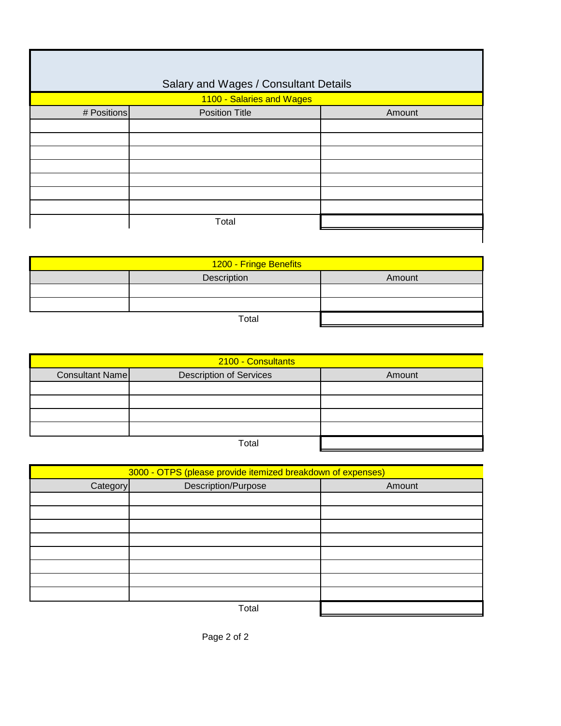|             | Salary and Wages / Consultant Details |        |
|-------------|---------------------------------------|--------|
|             | 1100 - Salaries and Wages             |        |
| # Positions | <b>Position Title</b>                 | Amount |
|             |                                       |        |
|             |                                       |        |
|             |                                       |        |
|             |                                       |        |
|             |                                       |        |
|             |                                       |        |
|             |                                       |        |
|             | Total                                 |        |
|             |                                       |        |

| 1200 - Fringe Benefits |       |  |
|------------------------|-------|--|
| Description<br>Amount  |       |  |
|                        |       |  |
|                        |       |  |
|                        | Total |  |

| 2100 - Consultants |                                |        |
|--------------------|--------------------------------|--------|
| Consultant Name    | <b>Description of Services</b> | Amount |
|                    |                                |        |
|                    |                                |        |
|                    |                                |        |
|                    |                                |        |
|                    | Total                          |        |

| 3000 - OTPS (please provide itemized breakdown of expenses) |                     |        |
|-------------------------------------------------------------|---------------------|--------|
| Category                                                    | Description/Purpose | Amount |
|                                                             |                     |        |
|                                                             |                     |        |
|                                                             |                     |        |
|                                                             |                     |        |
|                                                             |                     |        |
|                                                             |                     |        |
|                                                             |                     |        |
|                                                             |                     |        |
|                                                             | Total               |        |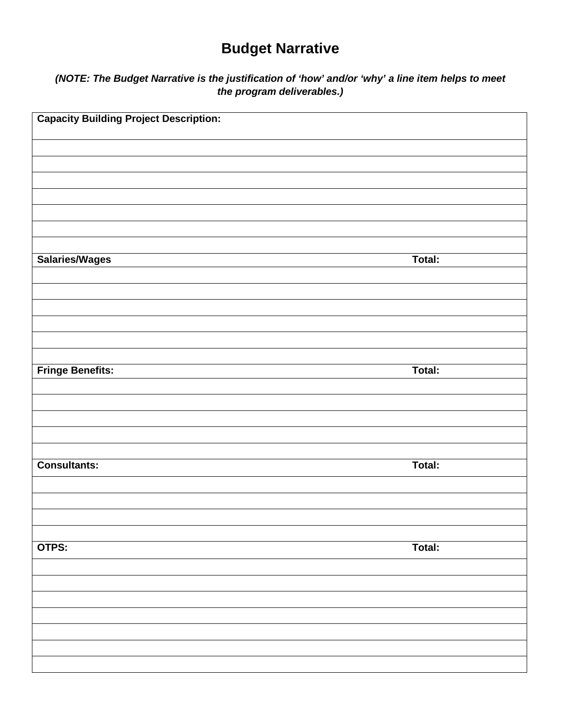# **Budget Narrative**

## *(NOTE: The Budget Narrative is the justification of 'how' and/or 'why' a line item helps to meet the program deliverables.)*

| <b>Capacity Building Project Description:</b> |        |
|-----------------------------------------------|--------|
|                                               |        |
|                                               |        |
|                                               |        |
|                                               |        |
|                                               |        |
| Salaries/Wages                                | Total: |
|                                               |        |
|                                               |        |
|                                               |        |
|                                               |        |
| <b>Fringe Benefits:</b>                       | Total: |
|                                               |        |
|                                               |        |
|                                               |        |
| <b>Consultants:</b>                           | Total: |
|                                               |        |
|                                               |        |
|                                               |        |
| OTPS:                                         | Total: |
|                                               |        |
|                                               |        |
|                                               |        |
|                                               |        |
|                                               |        |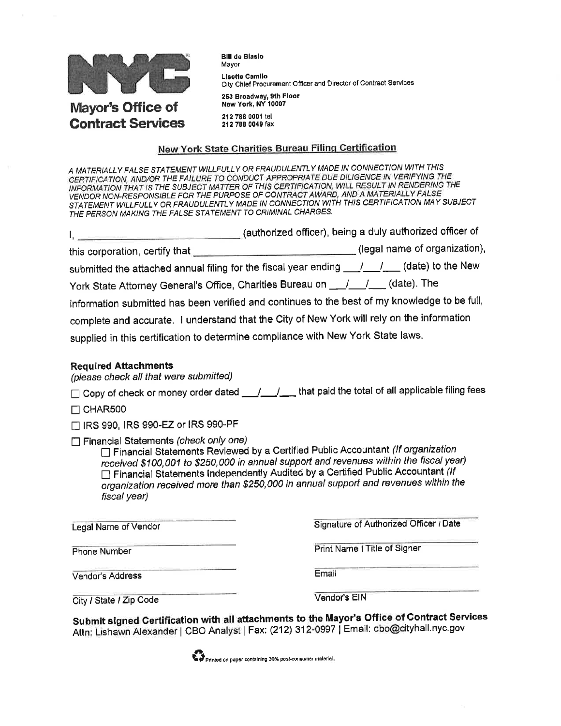

**Contract Services** 

**Bill de Blaslo** Mavor Lisette Camilo City Chief Procurement Officer and Director of Contract Services 253 Broadway, 9th Floor New York, NY 10007

212 788 0001 tel 212 788 0049 fax

#### New York State Charities Bureau Filing Certification

A MATERIALLY FALSE STATEMENT WILLFULLY OR FRAUDULENTLY MADE IN CONNECTION WITH THIS CERTIFICATION, AND/OR THE FAILURE TO CONDUCT APPROPRIATE DUE DILIGENCE IN VERIFYING THE INFORMATION THAT IS THE SUBJECT MATTER OF THIS CERTIFICATION, WILL RESULT IN RENDERING THE VENDOR NON-RESPONSIBLE FOR THE PURPOSE OF CONTRACT AWARD, AND A MATERIALLY FALSE STATEMENT WILLFULLY OR FRAUDULENTLY MADE IN CONNECTION WITH THIS CERTIFICATION MAY SUBJECT THE PERSON MAKING THE FALSE STATEMENT TO CRIMINAL CHARGES.

| $\mathsf{I}_i$ (authorized officer), being a duly authorized officer of                       |                               |
|-----------------------------------------------------------------------------------------------|-------------------------------|
|                                                                                               | (legal name of organization), |
| submitted the attached annual filing for the fiscal year ending ___/___/____(date) to the New |                               |
| York State Attorney General's Office, Charities Bureau on ____________(date). The             |                               |
| information submitted has been verified and continues to the best of my knowledge to be full, |                               |
| complete and accurate. I understand that the City of New York will rely on the information    |                               |
| supplied in this certification to determine compliance with New York State laws.              |                               |
|                                                                                               |                               |

#### **Required Attachments**

(please check all that were submitted)

□ Copy of check or money order dated \_\_/\_\_/\_\_ that paid the total of all applicable filing fees

 $\Box$  CHAR500

□ IRS 990, IRS 990-EZ or IRS 990-PF

Financial Statements (check only one)

□ Financial Statements Reviewed by a Certified Public Accountant (If organization received \$100,001 to \$250,000 in annual support and revenues within the fiscal year) □ Financial Statements Independently Audited by a Certified Public Accountant (If organization received more than \$250,000 in annual support and revenues within the fiscal year)

Legal Name of Vendor

**Phone Number** 

Signature of Authorized Officer / Date

Print Name I Title of Signer

Vendor's Address

Email

City / State / Zip Code

Vendor's EIN

Submit signed Certification with all attachments to the Mayor's Office of Contract Services Attn: Lishawn Alexander | CBO Analyst | Fax: (212) 312-0997 | Email: cbo@cityhall.nyc.gov

Printed on paper containing 30% post-consumer material.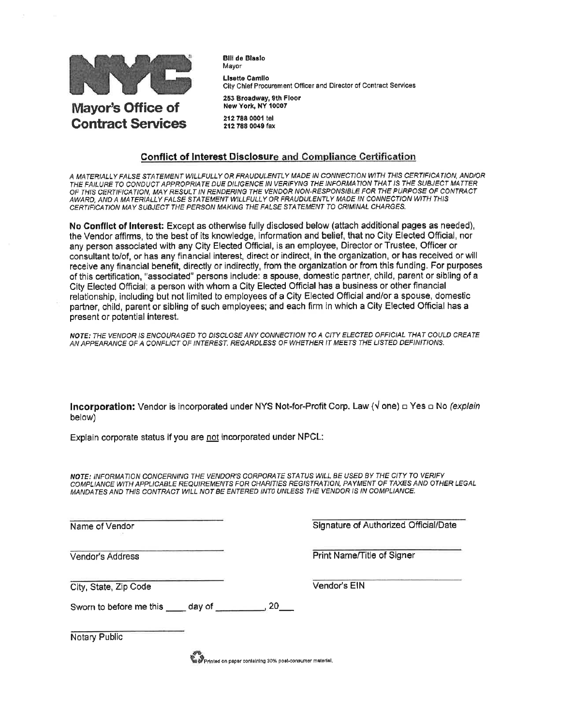

**Bill de Blaslo** Мауог **Lisatte Camilo** City Chief Procurement Officer and Director of Contract Services 253 Broadway, 9th Floor New York, NY 10007

212 788 0001 tel 212 788 0049 fax

#### **Conflict of Interest Disclosure and Compliance Certification**

A MATERIALLY FALSE STATEMENT WILLFULLY OR FRAUDULENTLY MADE IN CONNECTION WITH THIS CERTIFICATION, AND/OR<br>THE FAILURE TO CONDUCT APPROPRIATE DUE DILIGENCE IN VERIFYNG THE INFORMATION THAT IS THE SUBJECT MATTER OF THIS CERTIFICATION, MAY RESULT IN RENDERING THE VENDOR NON-RESPONSIBLE FOR THE PURPOSE OF CONTRACT AWARD, AND A MATERIALLY FALSE STATEMENT WILLFULLY OR FRAUDULENTLY MADE IN CONNECTION WITH THIS CERTIFICATION MAY SUBJECT THE PERSON MAKING THE FALSE STATEMENT TO CRIMINAL CHARGES.

No Conflict of Interest: Except as otherwise fully disclosed below (attach additional pages as needed), the Vendor affirms, to the best of its knowledge, information and belief, that no City Elected Official, nor any person associated with any City Elected Official, is an employee, Director or Trustee, Officer or consultant to/of, or has any financial interest, direct or indirect, in the organization, or has received or will receive any financial benefit, directly or indirectly, from the organization or from this funding. For purposes of this certification, "associated" persons include: a spouse, domestic partner, child, parent or sibling of a City Elected Official; a person with whom a City Elected Official has a business or other financial relationship, including but not limited to employees of a City Elected Official and/or a spouse, domestic partner, child, parent or sibling of such employees; and each firm in which a City Elected Official has a present or potential interest.

NOTE: THE VENDOR IS ENCOURAGED TO DISCLOSE ANY CONNECTION TO A CITY ELECTED OFFICIAL THAT COULD CREATE AN APPEARANCE OF A CONFLICT OF INTEREST. REGARDLESS OF WHETHER IT MEETS THE LISTED DEFINITIONS.

**Incorporation:** Vendor is incorporated under NYS Not-for-Profit Corp. Law ( $\sqrt{ }$  one)  $\Box$  Yes  $\Box$  No *(explain* below)

Explain corporate status if you are not incorporated under NPCL:

NOTE: INFORMATION CONCERNING THE VENDOR'S CORPORATE STATUS WILL BE USED BY THE CITY TO VERIFY COMPLIANCE WITH APPLICABLE REQUIREMENTS FOR CHARITIES REGISTRATION, PAYMENT OF TAXES AND OTHER LEGAL MANDATES AND THIS CONTRACT WILL NOT BE ENTERED INTO UNLESS THE VENDOR IS IN COMPLIANCE.

Name of Vendor

Vendor's Address

Signature of Authorized Official/Date

Print Name/Title of Signer

City, State, Zip Code

Vendor's EIN

Sworn to before me this same day of

Notary Public

Printed on paper containing 30% post-consumer material,

 $20$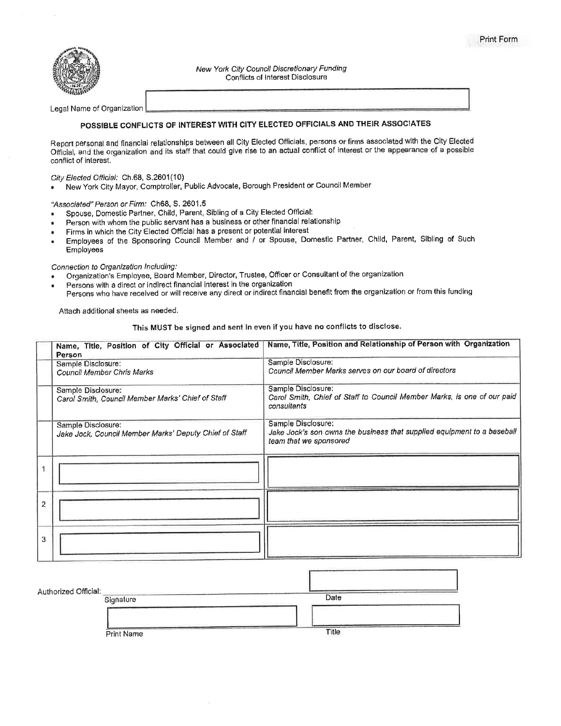

New York City Council Discretionary Funding Conflicts of Interest Disclosure

Legal Name of Organization

#### POSSIBLE CONFLICTS OF INTEREST WITH CITY ELECTED OFFICIALS AND THEIR ASSOCIATES

Report personal and financial relationships between all City Elected Officials, persons or firms associated with the City Elected Official, and the organization and its staff that could give rise to an actual conflict of interest or the appearance of a possible conflict of interest.

City Elected Official: Ch.68, S.2601(10)

New York City Mayor, Comptroller, Public Advocate, Borough President or Council Member

"Associated" Person or Firm: Ch68, S. 2601.5

- Spouse, Domestic Partner, Child, Parent, Sibling of a City Elected Official:
- Person with whom the public servant has a business or other financial relationship
- Firms in which the City Elected Official has a present or potential interest
- Employees of the Sponsoring Council Member and / or Spouse, Domestic Partner, Child, Parent, Sibling of Such Employees

#### Connection to Organization Including:

- Organization's Employee, Board Member, Director, Trustee, Officer or Consultant of the organization
- Persons with a direct or indirect financial interest in the organization
- Persons who have received or will receive any direct or indirect financial benefit from the organization or from this funding

Attach additional sheets as needed.

This MUST be signed and sent in even if you have no conflicts to disclose.

| Name, Title, Position of City Official or Associated<br>Person               | Name, Title, Position and Relationship of Person with Organization                                                      |
|------------------------------------------------------------------------------|-------------------------------------------------------------------------------------------------------------------------|
| Sample Disclosure:<br>Council Member Chris Marks                             | Sample Disclosure:<br>Council Member Marks serves on our board of directors                                             |
| Sample Disclosure:<br>Carol Smith, Council Member Marks' Chief of Staff      | Sample Disclosure:<br>Carol Smith, Chief of Staff to Council Member Marks, is one of our paid<br>consultants            |
| Sample Disclosure:<br>Jake Jock, Council Member Marks' Deputy Chief of Staff | Sample Disclosure:<br>Jake Jock's son owns the business that supplied equipment to a baseball<br>team that we sponsored |
|                                                                              |                                                                                                                         |
| $\overline{2}$                                                               |                                                                                                                         |
| 3                                                                            |                                                                                                                         |

| Authorized Official: | Signature         | Date  |  |
|----------------------|-------------------|-------|--|
|                      | <b>Print Name</b> | Title |  |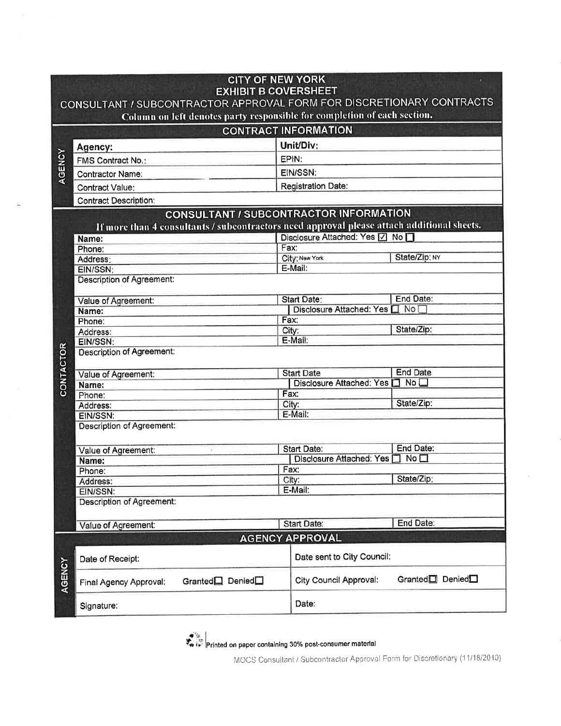|                  | <b>CITY OF NEW YORK</b><br><b>EXHIBIT B COVERSHEET</b><br>CONSULTANT / SUBCONTRACTOR APPROVAL FORM FOR DISCRETIONARY CONTRACTS<br>Column on left denotes party responsible for completion of each section. |      |                               |                                          |  |
|------------------|------------------------------------------------------------------------------------------------------------------------------------------------------------------------------------------------------------|------|-------------------------------|------------------------------------------|--|
|                  |                                                                                                                                                                                                            |      | <b>CONTRACT INFORMATION</b>   |                                          |  |
|                  | Agency:                                                                                                                                                                                                    |      | Unit/Div:                     |                                          |  |
| AGENCY           | <b>FMS Contract No.:</b>                                                                                                                                                                                   |      | EPIN:                         |                                          |  |
|                  | <b>Contractor Name:</b>                                                                                                                                                                                    |      | EIN/SSN:                      |                                          |  |
|                  |                                                                                                                                                                                                            |      |                               |                                          |  |
|                  | <b>Contract Value:</b>                                                                                                                                                                                     |      | <b>Registration Date:</b>     |                                          |  |
|                  | <b>Contract Description:</b>                                                                                                                                                                               |      |                               |                                          |  |
|                  | <b>CONSULTANT / SUBCONTRACTOR INFORMATION</b><br>If more than 4 consultants / subcontractors need approval please attach additional sheets.                                                                |      |                               |                                          |  |
|                  | Name:                                                                                                                                                                                                      |      | Disclosure Attached: Yes   No |                                          |  |
|                  | Phone:                                                                                                                                                                                                     | Fax: |                               |                                          |  |
|                  | Address:                                                                                                                                                                                                   |      | City: New York                | State/Zip: NY                            |  |
|                  | EIN/SSN:                                                                                                                                                                                                   |      | E-Mail:                       |                                          |  |
|                  | <b>Description of Agreement:</b>                                                                                                                                                                           |      |                               |                                          |  |
|                  | Value of Agreement:                                                                                                                                                                                        |      | <b>Start Date:</b>            | End Date:                                |  |
|                  | Name:                                                                                                                                                                                                      |      | Disclosure Attached: Yes      | No <sup>1</sup>                          |  |
|                  | Phone:                                                                                                                                                                                                     | Fax: |                               |                                          |  |
|                  | Address:                                                                                                                                                                                                   |      | City:                         | State/Zip:                               |  |
|                  | EIN/SSN:                                                                                                                                                                                                   |      | E-Mail:                       |                                          |  |
| <b>CONTACTOR</b> | <b>Description of Agreement:</b>                                                                                                                                                                           |      |                               |                                          |  |
|                  | Value of Agreement:                                                                                                                                                                                        |      | <b>Start Date</b>             | <b>End Date</b>                          |  |
|                  | Name:                                                                                                                                                                                                      |      | Disclosure Attached: Yes      | No <sub>1</sub>                          |  |
|                  | Phone:                                                                                                                                                                                                     |      | Fax:                          |                                          |  |
|                  | Address:                                                                                                                                                                                                   |      | City:                         | State/Zip:                               |  |
|                  | EIN/SSN:                                                                                                                                                                                                   |      | E-Mail:                       |                                          |  |
|                  | <b>Description of Agreement:</b>                                                                                                                                                                           |      |                               |                                          |  |
|                  | Value of Agreement:                                                                                                                                                                                        |      | <b>Start Date:</b>            | End Date:                                |  |
|                  | Name:                                                                                                                                                                                                      |      | Disclosure Attached: Yes [    | No <sub>1</sub>                          |  |
|                  | Phone:                                                                                                                                                                                                     |      | Fax:                          |                                          |  |
|                  | Address:                                                                                                                                                                                                   |      | City:                         | State/Zip:                               |  |
|                  | EIN/SSN:                                                                                                                                                                                                   |      | E-Mail:                       |                                          |  |
|                  | Description of Agreement:                                                                                                                                                                                  |      |                               |                                          |  |
|                  |                                                                                                                                                                                                            |      |                               | End Date:                                |  |
|                  | Value of Agreement:                                                                                                                                                                                        |      | Start Date:                   |                                          |  |
|                  |                                                                                                                                                                                                            |      | <b>AGENCY APPROVAL</b>        |                                          |  |
|                  | Date of Receipt:                                                                                                                                                                                           |      | Date sent to City Council:    |                                          |  |
| AGENCY           | Granted <sup>[1]</sup> Denied <sup>[1]</sup><br>Final Agency Approval:                                                                                                                                     |      | <b>City Council Approval:</b> | Granted <sup>1</sup> Denied <sup>1</sup> |  |
|                  | Signature:                                                                                                                                                                                                 |      | Date:                         |                                          |  |

 $\bigstar$  is equipment on paper containing 30% post-consumer material<br> $\bigstar$   $\mathbb{R}$   $\rightarrow$   $\mathbb{R}$   $\rightarrow$  20010

MOCS Consultant / Subcontractor Approval Form for Discretionary (11/18/2010)